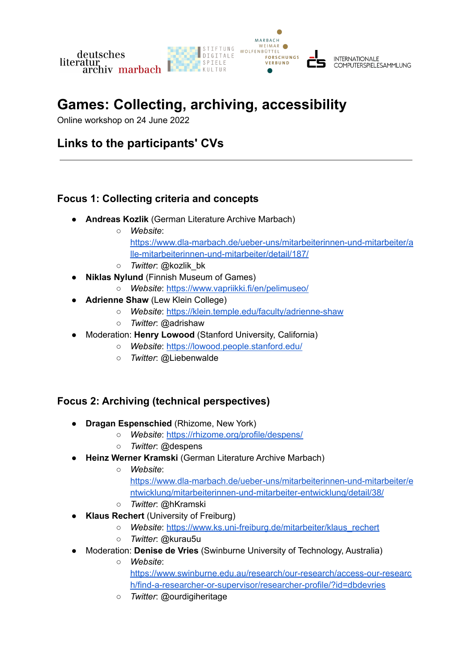

# **Games: Collecting, archiving, accessibility**

Online workshop on 24 June 2022

## **Links to the participants' CVs**

#### **Focus 1: Collecting criteria and concepts**

- **Andreas Kozlik** (German Literature Archive Marbach)
	- *Website*: [https://www.dla-marbach.de/ueber-uns/mitarbeiterinnen-und-mitarbeiter/a](https://www.dla-marbach.de/ueber-uns/mitarbeiterinnen-und-mitarbeiter/alle-mitarbeiterinnen-und-mitarbeiter/detail/187/) [lle-mitarbeiterinnen-und-mitarbeiter/detail/187/](https://www.dla-marbach.de/ueber-uns/mitarbeiterinnen-und-mitarbeiter/alle-mitarbeiterinnen-und-mitarbeiter/detail/187/)
	- *Twitter*: @kozlik\_bk
	- **Niklas Nylund** (Finnish Museum of Games)
		- *Website*: <https://www.vapriikki.fi/en/pelimuseo/>
- **Adrienne Shaw** (Lew Klein College)
	- *Website*: <https://klein.temple.edu/faculty/adrienne-shaw>
	- *Twitter*: @adrishaw
- Moderation: **Henry Lowood** (Stanford University, California)
	- *Website*: <https://lowood.people.stanford.edu/>
	- *Twitter*: @Liebenwalde

#### **Focus 2: Archiving (technical perspectives)**

- *●* **Dragan Espenschied** (Rhizome, New York)
	- *○ Website*: <https://rhizome.org/profile/despens/>
	- *○ Twitter*: @despens
- *●* **Heinz Werner Kramski** (German Literature Archive Marbach)
	- *○ Website*: [https://www.dla-marbach.de/ueber-uns/mitarbeiterinnen-und-mitarbeiter/e](https://www.dla-marbach.de/ueber-uns/mitarbeiterinnen-und-mitarbeiter/entwicklung/mitarbeiterinnen-und-mitarbeiter-entwicklung/detail/38/) [ntwicklung/mitarbeiterinnen-und-mitarbeiter-entwicklung/detail/38/](https://www.dla-marbach.de/ueber-uns/mitarbeiterinnen-und-mitarbeiter/entwicklung/mitarbeiterinnen-und-mitarbeiter-entwicklung/detail/38/)
	- *○ Twitter*: @hKramski
- **Klaus Rechert** (University of Freiburg)
	- *○ Website*: [https://www.ks.uni-freiburg.de/mitarbeiter/klaus\\_rechert](https://www.ks.uni-freiburg.de/mitarbeiter/klaus_rechert)
	- *○ Twitter*: @kurau5u
- *●* Moderation: **Denise de Vries** (Swinburne University of Technology, Australia)
	- *○ Website*: [https://www.swinburne.edu.au/research/our-research/access-our-researc](https://www.swinburne.edu.au/research/our-research/access-our-research/find-a-researcher-or-supervisor/researcher-profile/?id=dbdevries) [h/find-a-researcher-or-supervisor/researcher-profile/?id=dbdevries](https://www.swinburne.edu.au/research/our-research/access-our-research/find-a-researcher-or-supervisor/researcher-profile/?id=dbdevries)
	- *○ Twitter*: @ourdigiheritage